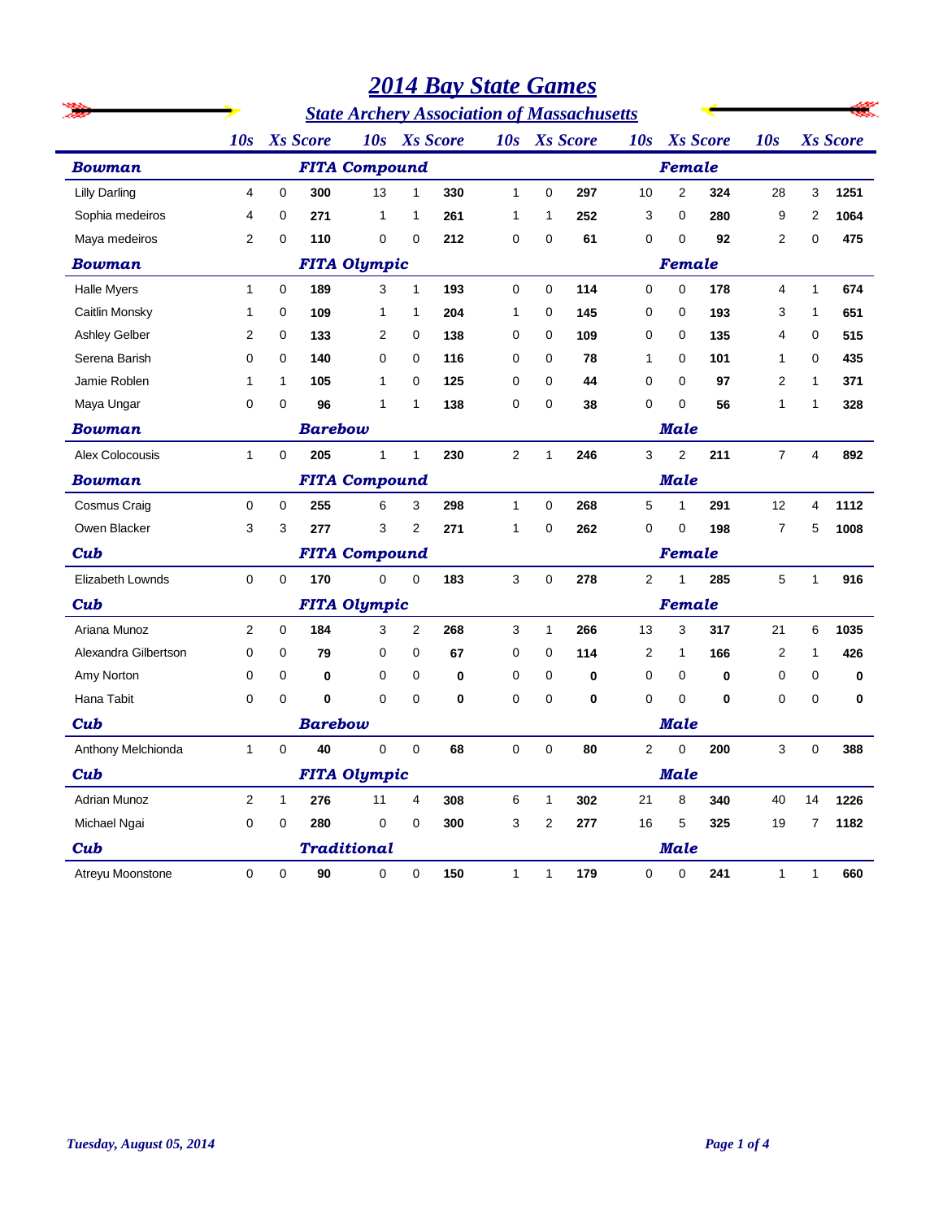|                      |                |                     |                 |                                                   |                | <b>2014 Bay State Games</b> |              |                         |              |             |                |                 |                |              |                 |  |
|----------------------|----------------|---------------------|-----------------|---------------------------------------------------|----------------|-----------------------------|--------------|-------------------------|--------------|-------------|----------------|-----------------|----------------|--------------|-----------------|--|
|                      |                |                     |                 | <b>State Archery Association of Massachusetts</b> |                |                             |              |                         |              |             |                |                 |                |              |                 |  |
|                      | 10s            |                     | <b>Xs</b> Score | 10s                                               |                | <b>Xs</b> Score             |              |                         | 10s Xs Score | 10s         |                | <b>Xs</b> Score | 10s            |              | <b>Xs</b> Score |  |
| <b>Bowman</b>        |                |                     |                 | <b>FITA Compound</b>                              |                |                             |              |                         |              |             | Female         |                 |                |              |                 |  |
| <b>Lilly Darling</b> | 4              | 0                   | 300             | 13                                                | $\mathbf{1}$   | 330                         | $\mathbf{1}$ | 0                       | 297          | 10          | $\overline{2}$ | 324             | 28             | 3            | 1251            |  |
| Sophia medeiros      | 4              | 0                   | 271             | 1                                                 | 1              | 261                         | 1            | 1                       | 252          | 3           | 0              | 280             | 9              | 2            | 1064            |  |
| Maya medeiros        | 2              | 0                   | 110             | 0                                                 | 0              | 212                         | 0            | 0                       | 61           | 0           | 0              | 92              | 2              | 0            | 475             |  |
| <b>Bowman</b>        |                |                     |                 | <b>FITA Olympic</b>                               |                |                             |              |                         |              |             | Female         |                 |                |              |                 |  |
| <b>Halle Myers</b>   | $\mathbf{1}$   | 0                   | 189             | 3                                                 | $\mathbf{1}$   | 193                         | 0            | $\mathbf 0$             | 114          | 0           | 0              | 178             | 4              | 1            | 674             |  |
| Caitlin Monsky       | 1              | 0                   | 109             | 1                                                 | 1              | 204                         | $\mathbf 1$  | 0                       | 145          | 0           | 0              | 193             | 3              | 1            | 651             |  |
| Ashley Gelber        | 2              | 0                   | 133             | 2                                                 | 0              | 138                         | 0            | 0                       | 109          | 0           | 0              | 135             | 4              | 0            | 515             |  |
| Serena Barish        | 0              | 0                   | 140             | 0                                                 | 0              | 116                         | 0            | 0                       | 78           | 1           | 0              | 101             | 1              | 0            | 435             |  |
| Jamie Roblen         | 1              | 1                   | 105             | 1                                                 | 0              | 125                         | 0            | 0                       | 44           | 0           | 0              | 97              | 2              | 1            | 371             |  |
| Maya Ungar           | 0              | 0                   | 96              | 1                                                 | 1              | 138                         | 0            | 0                       | 38           | 0           | 0              | 56              | 1              | 1            | 328             |  |
| <b>Bowman</b>        |                |                     | <b>Barebow</b>  |                                                   |                |                             |              |                         |              | <b>Male</b> |                |                 |                |              |                 |  |
| Alex Colocousis      | $\mathbf{1}$   | 0                   | 205             | $\mathbf{1}$                                      | $\mathbf{1}$   | 230                         | $\mathbf{2}$ | 1                       | 246          | 3           | 2              | 211             | $\overline{7}$ | 4            | 892             |  |
| <b>Bowman</b>        |                |                     |                 | <b>FITA Compound</b>                              |                |                             |              |                         |              | <b>Male</b> |                |                 |                |              |                 |  |
| <b>Cosmus Craig</b>  | 0              | 0                   | 255             | 6                                                 | 3              | 298                         | $\mathbf{1}$ | 0                       | 268          | 5           | 1              | 291             | 12             | 4            | 1112            |  |
| Owen Blacker         | 3              | 3                   | 277             | 3                                                 | $\overline{2}$ | 271                         | 1            | 0                       | 262          | 0           | 0              | 198             | $\overline{7}$ | 5            | 1008            |  |
| Cub                  |                |                     |                 | <b>FITA Compound</b>                              |                |                             |              |                         |              |             | Female         |                 |                |              |                 |  |
| Elizabeth Lownds     | 0              | 0                   | 170             | 0                                                 | 0              | 183                         | 3            | 0                       | 278          | 2           | 1              | 285             | 5              | 1            | 916             |  |
| Cub                  |                |                     |                 | <b>FITA Olympic</b>                               |                |                             |              | Female                  |              |             |                |                 |                |              |                 |  |
| Ariana Munoz         | 2              | 0                   | 184             | 3                                                 | $\overline{2}$ | 268                         | 3            | 1                       | 266          | 13          | 3              | 317             | 21             | 6            | 1035            |  |
| Alexandra Gilbertson | 0              | 0                   | 79              | 0                                                 | 0              | 67                          | 0            | 0                       | 114          | 2           | 1              | 166             | 2              | 1            | 426             |  |
| Amy Norton           | 0              | 0                   | 0               | 0                                                 | 0              | 0                           | 0            | 0                       | 0            | 0           | 0              | 0               | 0              | 0            | 0               |  |
| Hana Tabit           | 0              | 0                   | 0               | 0                                                 | 0              | 0                           | 0            | 0                       | 0            | 0           | 0              | 0               | 0              | 0            | 0               |  |
| Cub                  |                |                     | <b>Barebow</b>  |                                                   |                |                             |              |                         |              |             | Male           |                 |                |              |                 |  |
| Anthony Melchionda   | $\mathbf{1}$   | 0                   | 40              | 0                                                 | 0              | 68                          | 0            | 0                       | 80           | 2           | 0              | 200             | 3              | $\pmb{0}$    | 388             |  |
| Cub                  |                | <b>FITA Olympic</b> |                 |                                                   |                |                             |              | <b>Male</b>             |              |             |                |                 |                |              |                 |  |
| Adrian Munoz         | $\overline{c}$ | $\mathbf{1}$        | 276             | 11                                                | 4              | 308                         | 6            | $\mathbf{1}$            | 302          | 21          | 8              | 340             | 40             | 14           | 1226            |  |
| Michael Ngai         | 0              | 0                   | 280             | 0                                                 | 0              | 300                         | 3            | $\overline{\mathbf{c}}$ | 277          | $16\,$      | 5              | 325             | 19             | 7            | 1182            |  |
| Cub                  |                |                     |                 | <b>Traditional</b>                                |                |                             |              |                         |              |             | <b>Male</b>    |                 |                |              |                 |  |
| Atreyu Moonstone     | $\mathbf 0$    | $\mathbf 0$         | $90\,$          | $\mathbf 0$                                       | $\mathbf 0$    | 150                         | $\mathbf{1}$ | $\mathbf{1}$            | 179          | $\mathsf 0$ | 0              | 241             | $\mathbf{1}$   | $\mathbf{1}$ | 660             |  |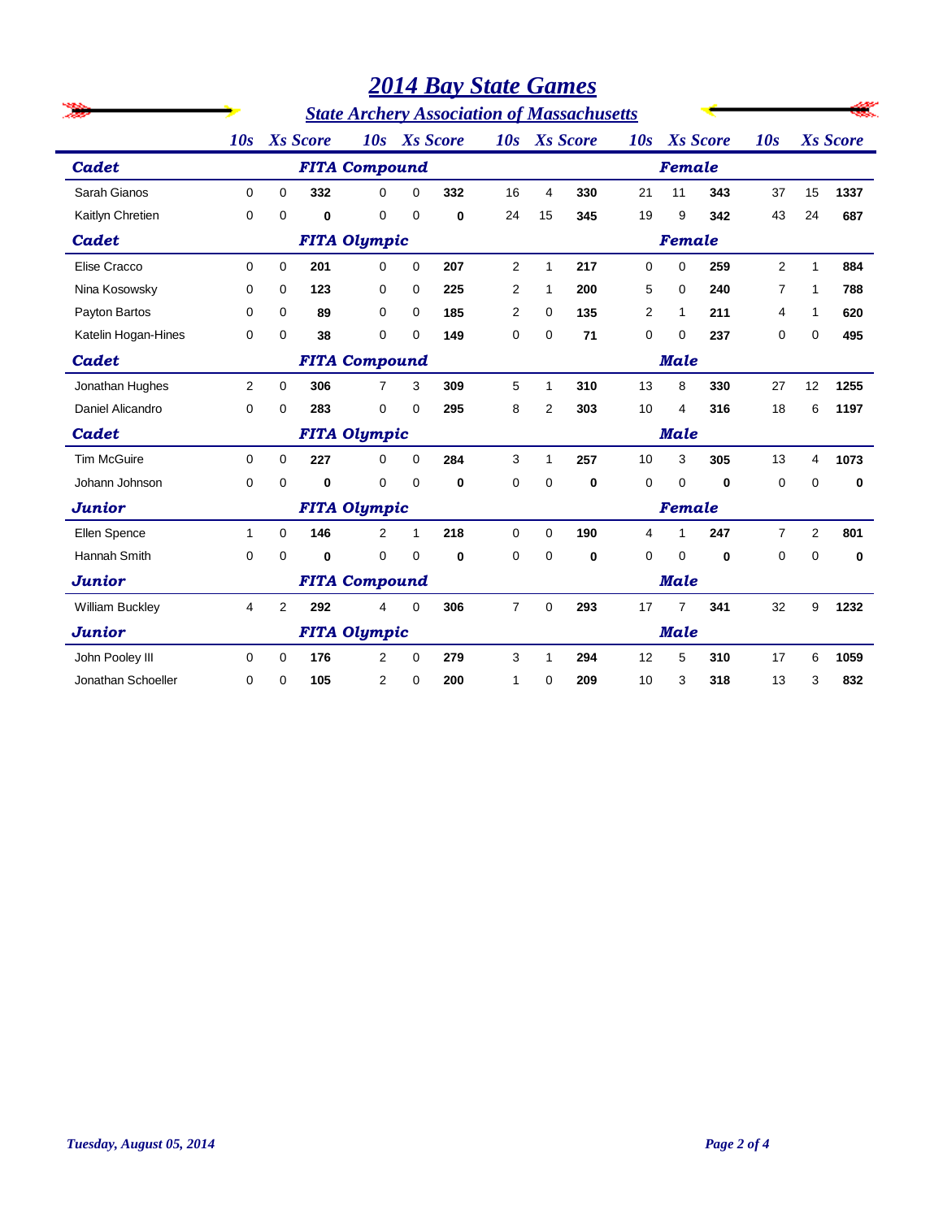|                        |              |                |                 |                      |              |                 | <b>2014 Bay State Games</b>                       |          |                 |     |                |                 |                |                |                 |
|------------------------|--------------|----------------|-----------------|----------------------|--------------|-----------------|---------------------------------------------------|----------|-----------------|-----|----------------|-----------------|----------------|----------------|-----------------|
|                        |              |                |                 |                      |              |                 | <b>State Archery Association of Massachusetts</b> |          |                 |     |                |                 |                |                |                 |
|                        | 10s          |                | <b>Xs</b> Score | 10s                  |              | <b>Xs</b> Score | 10s                                               |          | <b>Xs</b> Score | 10s |                | <b>Xs</b> Score | 10s            |                | <b>Xs</b> Score |
| Cadet                  |              |                |                 | <b>FITA Compound</b> |              |                 |                                                   |          |                 |     | Female         |                 |                |                |                 |
| Sarah Gianos           | 0            | $\Omega$       | 332             | $\Omega$             | $\Omega$     | 332             | 16                                                | 4        | 330             | 21  | 11             | 343             | 37             | 15             | 1337            |
| Kaitlyn Chretien       | 0            | 0              | 0               | 0                    | 0            | $\bf{0}$        | 24                                                | 15       | 345             | 19  | 9              | 342             | 43             | 24             | 687             |
| Cadet                  |              |                |                 | <b>FITA Olympic</b>  |              |                 |                                                   |          |                 |     | Female         |                 |                |                |                 |
| Elise Cracco           | $\Omega$     | 0              | 201             | $\Omega$             | $\Omega$     | 207             | $\overline{2}$                                    | 1        | 217             | 0   | 0              | 259             | $\overline{2}$ | $\mathbf{1}$   | 884             |
| Nina Kosowsky          | $\Omega$     | $\Omega$       | 123             | 0                    | 0            | 225             | $\overline{2}$                                    | 1        | 200             | 5   | 0              | 240             | 7              | 1              | 788             |
| Payton Bartos          | 0            | 0              | 89              | 0                    | $\Omega$     | 185             | 2                                                 | 0        | 135             | 2   | 1              | 211             | 4              | 1              | 620             |
| Katelin Hogan-Hines    | 0            | 0              | 38              | 0                    | 0            | 149             | 0                                                 | 0        | 71              | 0   | 0              | 237             | 0              | 0              | 495             |
| Cadet                  |              |                |                 | <b>FITA Compound</b> |              |                 | <b>Male</b>                                       |          |                 |     |                |                 |                |                |                 |
| Jonathan Hughes        | 2            | 0              | 306             | $\overline{7}$       | 3            | 309             | 5                                                 | 1        | 310             | 13  | 8              | 330             | 27             | 12             | 1255            |
| Daniel Alicandro       | $\Omega$     | $\Omega$       | 283             | 0                    | $\Omega$     | 295             | 8                                                 | 2        | 303             | 10  | 4              | 316             | 18             | 6              | 1197            |
| Cadet                  |              |                |                 | <b>FITA Olympic</b>  |              |                 |                                                   |          |                 |     | <b>Male</b>    |                 |                |                |                 |
| <b>Tim McGuire</b>     | 0            | $\Omega$       | 227             | 0                    | $\Omega$     | 284             | 3                                                 | 1        | 257             | 10  | 3              | 305             | 13             | 4              | 1073            |
| Johann Johnson         | 0            | 0              | 0               | 0                    | 0            | 0               | 0                                                 | 0        | 0               | 0   | 0              | 0               | 0              | 0              | 0               |
| <b>Junior</b>          |              |                |                 | <b>FITA Olympic</b>  |              |                 |                                                   |          |                 |     | Female         |                 |                |                |                 |
| Ellen Spence           | $\mathbf{1}$ | $\Omega$       | 146             | $\overline{2}$       | $\mathbf{1}$ | 218             | $\mathbf 0$                                       | $\Omega$ | 190             | 4   | 1              | 247             | $\overline{7}$ | $\overline{2}$ | 801             |
| <b>Hannah Smith</b>    | 0            | $\Omega$       | 0               | $\mathbf{0}$         | $\Omega$     | $\bf{0}$        | $\Omega$                                          | $\Omega$ | 0               | 0   | $\Omega$       | 0               | $\mathbf 0$    | 0              | 0               |
| <b>Junior</b>          |              |                |                 | <b>FITA Compound</b> |              |                 |                                                   |          |                 |     | <b>Male</b>    |                 |                |                |                 |
| <b>William Buckley</b> | 4            | $\overline{2}$ | 292             | 4                    | $\Omega$     | 306             | $\overline{7}$                                    | $\Omega$ | 293             | 17  | $\overline{7}$ | 341             | 32             | 9              | 1232            |
| <b>Junior</b>          |              |                |                 | <b>FITA Olympic</b>  |              |                 |                                                   |          |                 |     | <b>Male</b>    |                 |                |                |                 |
| John Pooley III        | $\Omega$     | 0              | 176             | 2                    | $\Omega$     | 279             | 3                                                 | 1        | 294             | 12  | 5              | 310             | 17             | 6              | 1059            |
| Jonathan Schoeller     | $\Omega$     | 0              | 105             | $\overline{2}$       | $\Omega$     | 200             | 1                                                 | 0        | 209             | 10  | 3              | 318             | 13             | 3              | 832             |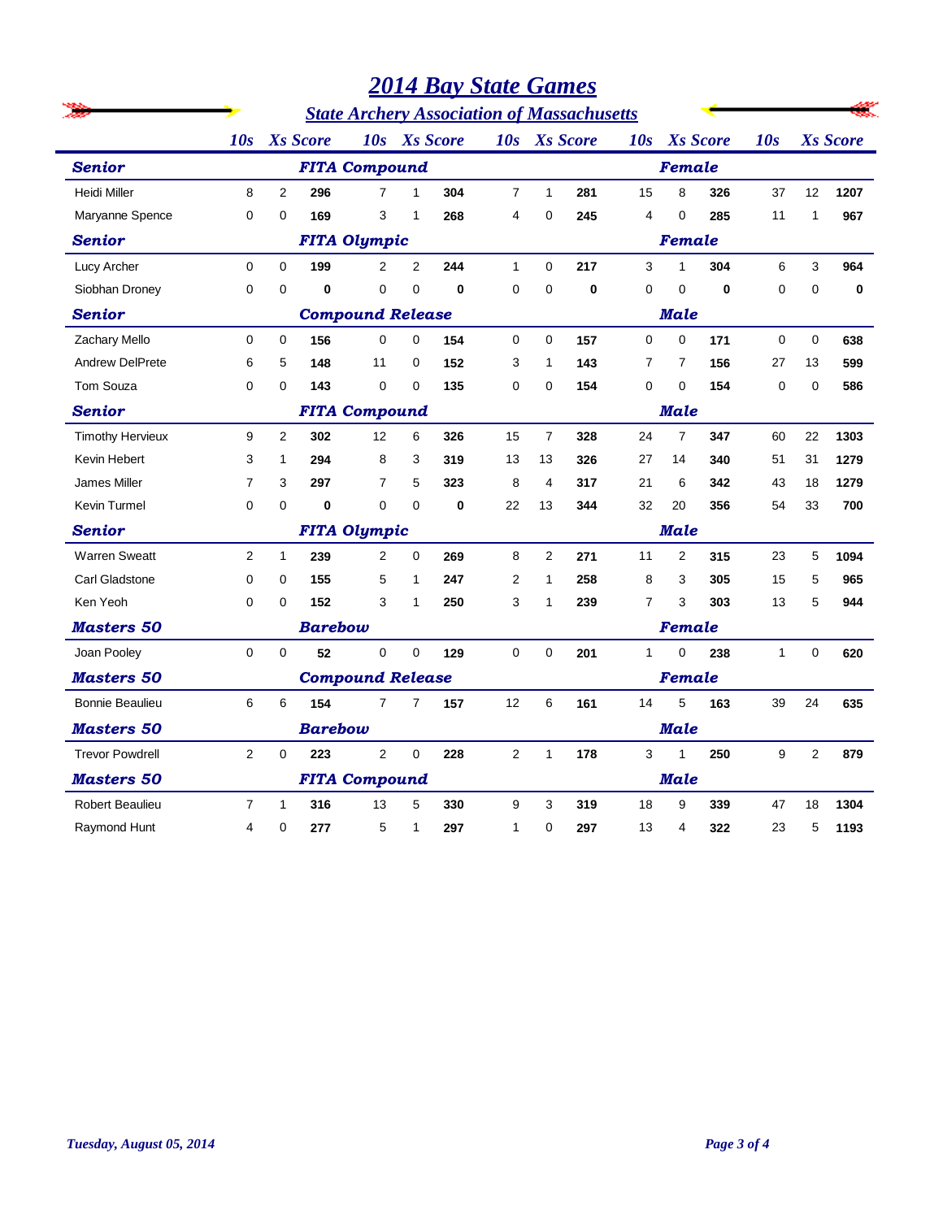|                         |                      |                                                                                                                                                                                                                                                                                                                                                                                                                                                                                                                                                                                                                                                                                                       |                 |                                                   |                |                 | <b>2014 Bay State Games</b> |              |                 |                |                |                 |              |              |                 |  |  |  |
|-------------------------|----------------------|-------------------------------------------------------------------------------------------------------------------------------------------------------------------------------------------------------------------------------------------------------------------------------------------------------------------------------------------------------------------------------------------------------------------------------------------------------------------------------------------------------------------------------------------------------------------------------------------------------------------------------------------------------------------------------------------------------|-----------------|---------------------------------------------------|----------------|-----------------|-----------------------------|--------------|-----------------|----------------|----------------|-----------------|--------------|--------------|-----------------|--|--|--|
|                         |                      |                                                                                                                                                                                                                                                                                                                                                                                                                                                                                                                                                                                                                                                                                                       |                 | <b>State Archery Association of Massachusetts</b> |                |                 |                             |              |                 |                |                |                 |              |              |                 |  |  |  |
|                         | 10s                  |                                                                                                                                                                                                                                                                                                                                                                                                                                                                                                                                                                                                                                                                                                       | <b>Xs</b> Score | 10s                                               |                | <b>Xs</b> Score | 10s                         |              | <b>Xs</b> Score | 10s            |                | <b>Xs</b> Score | 10s          |              | <b>Xs</b> Score |  |  |  |
| <b>Senior</b>           | <b>FITA Compound</b> |                                                                                                                                                                                                                                                                                                                                                                                                                                                                                                                                                                                                                                                                                                       |                 |                                                   |                |                 |                             |              |                 | Female         |                |                 |              |              |                 |  |  |  |
| <b>Heidi Miller</b>     | 8                    | $\overline{2}$                                                                                                                                                                                                                                                                                                                                                                                                                                                                                                                                                                                                                                                                                        | 296             | $\overline{7}$                                    | $\mathbf{1}$   | 304             | $\overline{7}$              | $\mathbf{1}$ | 281             | 15             | 8              | 326             | 37           | 12           | 1207            |  |  |  |
| Maryanne Spence         | 0                    | 0                                                                                                                                                                                                                                                                                                                                                                                                                                                                                                                                                                                                                                                                                                     | 169             | 3                                                 | $\mathbf{1}$   | 268             | 4                           | $\mathbf 0$  | 245             | 4              | 0              | 285             | 11           | $\mathbf{1}$ | 967             |  |  |  |
| <b>Senior</b>           |                      |                                                                                                                                                                                                                                                                                                                                                                                                                                                                                                                                                                                                                                                                                                       |                 | <b>FITA Olympic</b>                               |                |                 |                             |              |                 |                | Female         |                 |              |              |                 |  |  |  |
| Lucy Archer             | 0                    | 0                                                                                                                                                                                                                                                                                                                                                                                                                                                                                                                                                                                                                                                                                                     | 199             | $\overline{2}$                                    | $\overline{2}$ | 244             | $\mathbf{1}$                | $\mathbf 0$  | 217             | 3              | 1              | 304             | 6            | 3            | 964             |  |  |  |
| Siobhan Droney          | 0                    | 0                                                                                                                                                                                                                                                                                                                                                                                                                                                                                                                                                                                                                                                                                                     | 0               | 0                                                 | $\Omega$       | $\bf{0}$        | $\mathbf 0$                 | 0            | $\bf{0}$        | 0              | 0              | $\bf{0}$        | 0            | $\mathbf 0$  | $\bf{0}$        |  |  |  |
| <b>Senior</b>           |                      |                                                                                                                                                                                                                                                                                                                                                                                                                                                                                                                                                                                                                                                                                                       |                 |                                                   |                |                 | <b>Male</b>                 |              |                 |                |                |                 |              |              |                 |  |  |  |
| Zachary Mello           | 0                    | 0                                                                                                                                                                                                                                                                                                                                                                                                                                                                                                                                                                                                                                                                                                     | 156             | $\mathbf 0$                                       | 0              | 154             | $\mathbf 0$                 | $\mathbf 0$  | 157             | $\mathbf 0$    | 0              | 171             | 0            | 0            | 638             |  |  |  |
| <b>Andrew DelPrete</b>  | 6                    | 5                                                                                                                                                                                                                                                                                                                                                                                                                                                                                                                                                                                                                                                                                                     | 148             | 11                                                | $\Omega$       | 152             | 3                           | 1            | 143             | 7              | $\overline{7}$ | 156             | 27           | 13           | 599             |  |  |  |
| Tom Souza               | 0                    | $\Omega$                                                                                                                                                                                                                                                                                                                                                                                                                                                                                                                                                                                                                                                                                              | 143             | $\mathbf 0$                                       | $\Omega$       | 135             | 0                           | 0            | 154             | 0              | 0              | 154             | $\mathbf 0$  | 0            | 586             |  |  |  |
| <b>Senior</b>           |                      | <b>Compound Release</b><br><b>FITA Compound</b><br>Male<br>9<br>$\overline{2}$<br>12<br>$\overline{7}$<br>24<br>$\overline{7}$<br>302<br>6<br>326<br>15<br>328<br>347<br>60<br>3<br>8<br>3<br>1<br>294<br>319<br>13<br>13<br>326<br>27<br>14<br>51<br>340<br>7<br>$\overline{7}$<br>5<br>3<br>297<br>323<br>8<br>$\overline{4}$<br>317<br>21<br>6<br>342<br>43<br>0<br>0<br>0<br>0<br>$\bf{0}$<br>22<br>13<br>344<br>32<br>20<br>356<br>54<br>0<br><b>FITA Olympic</b><br>Male<br>2<br>239<br>$\overline{2}$<br>$\Omega$<br>269<br>8<br>$\overline{2}$<br>271<br>$\overline{2}$<br>315<br>23<br>1<br>11<br>155<br>5<br>$\overline{2}$<br>3<br>0<br>$\Omega$<br>247<br>258<br>8<br>305<br>15<br>1<br>1 |                 |                                                   |                |                 |                             |              |                 |                |                |                 |              |              |                 |  |  |  |
| <b>Timothy Hervieux</b> |                      |                                                                                                                                                                                                                                                                                                                                                                                                                                                                                                                                                                                                                                                                                                       |                 |                                                   |                |                 |                             |              |                 |                |                |                 |              | 22           | 1303            |  |  |  |
| Kevin Hebert            |                      |                                                                                                                                                                                                                                                                                                                                                                                                                                                                                                                                                                                                                                                                                                       |                 |                                                   |                |                 |                             |              |                 |                |                |                 |              | 31           | 1279            |  |  |  |
| James Miller            |                      |                                                                                                                                                                                                                                                                                                                                                                                                                                                                                                                                                                                                                                                                                                       |                 |                                                   |                |                 |                             |              |                 |                |                |                 |              | 18           | 1279            |  |  |  |
| Kevin Turmel            |                      |                                                                                                                                                                                                                                                                                                                                                                                                                                                                                                                                                                                                                                                                                                       |                 |                                                   |                |                 |                             |              |                 |                |                |                 |              | 33           | 700             |  |  |  |
| <b>Senior</b>           |                      |                                                                                                                                                                                                                                                                                                                                                                                                                                                                                                                                                                                                                                                                                                       |                 |                                                   |                |                 |                             |              |                 |                |                |                 |              |              |                 |  |  |  |
| <b>Warren Sweatt</b>    |                      |                                                                                                                                                                                                                                                                                                                                                                                                                                                                                                                                                                                                                                                                                                       |                 |                                                   |                |                 |                             |              |                 |                |                |                 |              | 5            | 1094            |  |  |  |
| Carl Gladstone          |                      |                                                                                                                                                                                                                                                                                                                                                                                                                                                                                                                                                                                                                                                                                                       |                 |                                                   |                |                 |                             |              |                 |                |                |                 |              | 5            | 965             |  |  |  |
| Ken Yeoh                | 0                    | 0                                                                                                                                                                                                                                                                                                                                                                                                                                                                                                                                                                                                                                                                                                     | 152             | 3                                                 | 1              | 250             | 3                           | 1            | 239             | $\overline{7}$ | 3              | 303             | 13           | 5            | 944             |  |  |  |
| <b>Masters 50</b>       |                      |                                                                                                                                                                                                                                                                                                                                                                                                                                                                                                                                                                                                                                                                                                       | <b>Barebow</b>  |                                                   |                |                 |                             |              |                 |                | Female         |                 |              |              |                 |  |  |  |
| Joan Pooley             | 0                    | 0                                                                                                                                                                                                                                                                                                                                                                                                                                                                                                                                                                                                                                                                                                     | 52              | $\mathbf 0$                                       | 0              | 129             | $\mathbf 0$                 | $\mathbf 0$  | 201             | $\mathbf{1}$   | 0              | 238             | $\mathbf{1}$ | $\mathbf 0$  | 620             |  |  |  |
| Masters 50              |                      |                                                                                                                                                                                                                                                                                                                                                                                                                                                                                                                                                                                                                                                                                                       |                 | <b>Compound Release</b>                           |                |                 | Female                      |              |                 |                |                |                 |              |              |                 |  |  |  |
| <b>Bonnie Beaulieu</b>  | 6                    | 6                                                                                                                                                                                                                                                                                                                                                                                                                                                                                                                                                                                                                                                                                                     | 154             | $\overline{7}$                                    | $\overline{7}$ | 157             | 12                          | 6            | 161             | 14             | 5              | 163             | 39           | 24           | 635             |  |  |  |
| Masters 50              |                      |                                                                                                                                                                                                                                                                                                                                                                                                                                                                                                                                                                                                                                                                                                       | <b>Barebow</b>  |                                                   |                |                 |                             |              |                 |                | Male           |                 |              |              |                 |  |  |  |
| <b>Trevor Powdrell</b>  | $\overline{2}$       | 0                                                                                                                                                                                                                                                                                                                                                                                                                                                                                                                                                                                                                                                                                                     | 223             | $\overline{2}$                                    | 0              | 228             | $\overline{2}$              | 1            | 178             | 3              | $\mathbf{1}$   | 250             | 9            | $\mathbf{2}$ | 879             |  |  |  |
| Masters 50              |                      |                                                                                                                                                                                                                                                                                                                                                                                                                                                                                                                                                                                                                                                                                                       |                 | <b>FITA Compound</b>                              |                |                 |                             |              |                 |                | Male           |                 |              |              |                 |  |  |  |
| <b>Robert Beaulieu</b>  | $\overline{7}$       | 1                                                                                                                                                                                                                                                                                                                                                                                                                                                                                                                                                                                                                                                                                                     | 316             | 13                                                | 5              | 330             | 9                           | 3            | 319             | 18             | 9              | 339             | 47           | 18           | 1304            |  |  |  |
| Raymond Hunt            | 4                    | 0                                                                                                                                                                                                                                                                                                                                                                                                                                                                                                                                                                                                                                                                                                     | 277             | 5                                                 | $\mathbf{1}$   | 297             | 1                           | 0            | 297             | 13             | 4              | 322             | 23           | 5            | 1193            |  |  |  |
|                         |                      |                                                                                                                                                                                                                                                                                                                                                                                                                                                                                                                                                                                                                                                                                                       |                 |                                                   |                |                 |                             |              |                 |                |                |                 |              |              |                 |  |  |  |